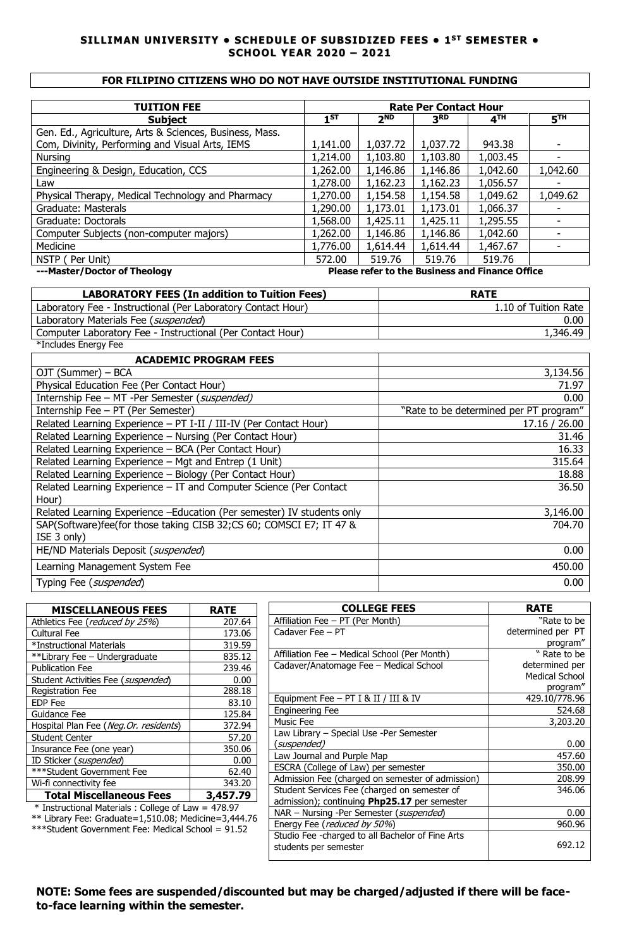### **SILLIMAN UNIVERSITY • SCHEDULE OF SUBSIDIZED FEES • 1 ST SEMESTER • SCHOOL YEAR 2020 – 2021**

### **FOR FILIPINO CITIZENS WHO DO NOT HAVE OUTSIDE INSTITUTIONAL FUNDING**

| <b>TUITION FEE</b>                                      | <b>Rate Per Contact Hour</b> |            |                 |                 |                 |
|---------------------------------------------------------|------------------------------|------------|-----------------|-----------------|-----------------|
| <b>Subject</b>                                          | $1^{ST}$                     | <b>2ND</b> | 3 <sup>RD</sup> | 4 <sup>TH</sup> | 5 <sup>TH</sup> |
| Gen. Ed., Agriculture, Arts & Sciences, Business, Mass. |                              |            |                 |                 |                 |
| Com, Divinity, Performing and Visual Arts, IEMS         | 1,141.00                     | 1,037.72   | 1,037.72        | 943.38          |                 |
| Nursing                                                 | 1,214.00                     | 1,103.80   | 1,103.80        | 1,003.45        |                 |
| Engineering & Design, Education, CCS                    | 1,262.00                     | 1,146.86   | 1,146.86        | 1,042.60        | 1,042.60        |
| Law                                                     | 1,278.00                     | 1,162.23   | 1,162.23        | 1,056.57        |                 |
| Physical Therapy, Medical Technology and Pharmacy       | 1,270.00                     | 1,154.58   | 1,154.58        | 1,049.62        | 1,049.62        |
| Graduate: Masterals                                     | 1,290.00                     | 1,173.01   | 1,173.01        | 1,066.37        |                 |
| Graduate: Doctorals                                     | 1,568.00                     | 1,425.11   | 1,425.11        | 1,295.55        |                 |
| Computer Subjects (non-computer majors)                 | 1,262.00                     | 1,146.86   | 1,146.86        | 1,042.60        |                 |
| Medicine                                                | 1,776.00                     | 1,614.44   | 1,614.44        | 1,467.67        |                 |
| NSTP (<br>Per Unit)                                     | 572.00                       | 519.76     | 519.76          | 519.76          |                 |

**---Master/Doctor of Theology Please refer to the Business and Finance Office**

| <b>LABORATORY FEES (In addition to Tuition Fees)</b>         | <b>RATE</b>          |
|--------------------------------------------------------------|----------------------|
| Laboratory Fee - Instructional (Per Laboratory Contact Hour) | 1.10 of Tuition Rate |
| Laboratory Materials Fee (suspended)                         | 0.00                 |
| Computer Laboratory Fee - Instructional (Per Contact Hour)   | 1,346.49             |
| *Includes Energy Fee                                         |                      |

| <b>ACADEMIC PROGRAM FEES</b>                                           |                                        |
|------------------------------------------------------------------------|----------------------------------------|
| OJT (Summer) – BCA                                                     | 3,134.56                               |
| Physical Education Fee (Per Contact Hour)                              | 71.97                                  |
| Internship Fee - MT -Per Semester (suspended)                          | 0.00                                   |
| Internship Fee - PT (Per Semester)                                     | "Rate to be determined per PT program" |
| Related Learning Experience - PT I-II / III-IV (Per Contact Hour)      | 17.16 / 26.00                          |
| Related Learning Experience - Nursing (Per Contact Hour)               | 31.46                                  |
| Related Learning Experience - BCA (Per Contact Hour)                   | 16.33                                  |
| Related Learning Experience - Mgt and Entrep (1 Unit)                  | 315.64                                 |
| Related Learning Experience - Biology (Per Contact Hour)               | 18.88                                  |
| Related Learning Experience - IT and Computer Science (Per Contact     | 36.50                                  |
| Hour)                                                                  |                                        |
| Related Learning Experience -Education (Per semester) IV students only | 3,146.00                               |
| SAP(Software)fee(for those taking CISB 32;CS 60; COMSCI E7; IT 47 &    | 704.70                                 |
| ISE 3 only)                                                            |                                        |
| HE/ND Materials Deposit (suspended)                                    | 0.00                                   |
| Learning Management System Fee                                         | 450.00                                 |
| Typing Fee (suspended)                                                 | 0.00                                   |

| <b>MISCELLANEOUS FEES</b>                                     | <b>RATE</b> |  |
|---------------------------------------------------------------|-------------|--|
| Athletics Fee (reduced by 25%)                                | 207.64      |  |
| Cultural Fee                                                  | 173.06      |  |
| *Instructional Materials                                      | 319.59      |  |
| **Library Fee - Undergraduate                                 | 835.12      |  |
| <b>Publication Fee</b>                                        | 239.46      |  |
| Student Activities Fee (suspended)                            | 0.00        |  |
| <b>Registration Fee</b>                                       | 288.18      |  |
| <b>EDP</b> Fee                                                | 83.10       |  |
| Guidance Fee                                                  | 125.84      |  |
| Hospital Plan Fee (Neg. Or. residents)                        | 372.94      |  |
| <b>Student Center</b>                                         | 57.20       |  |
| Insurance Fee (one year)                                      | 350.06      |  |
| ID Sticker (suspended)                                        | 0.00        |  |
| ***Student Government Fee                                     | 62.40       |  |
| Wi-fi connectivity fee                                        | 343.20      |  |
| <b>Total Miscellaneous Fees</b>                               | 3,457.79    |  |
| $*$ Instructional Materials $\cdot$ College of Law $-$ 478 97 |             |  |

| Affiliation Fee - PT (Per Month)                 | "Rate to be       |
|--------------------------------------------------|-------------------|
| Cadaver Fee - PT                                 | determined per PT |
|                                                  | program"          |
| Affiliation Fee - Medical School (Per Month)     | " Rate to be      |
| Cadaver/Anatomage Fee - Medical School           | determined per    |
|                                                  | Medical School    |
|                                                  | program"          |
| Equipment Fee $-$ PT I & II / III & IV           | 429.10/778.96     |
| <b>Engineering Fee</b>                           | 524.68            |
| Music Fee                                        | 3,203.20          |
| Law Library – Special Use -Per Semester          |                   |
| (suspended)                                      | 0.00              |
| Law Journal and Purple Map                       | 457.60            |
| ESCRA (College of Law) per semester              | 350.00            |
| Admission Fee (charged on semester of admission) | 208.99            |
| Student Services Fee (charged on semester of     | 346.06            |
| admission); continuing Php25.17 per semester     |                   |
| NAR - Nursing -Per Semester (suspended)          | 0.00              |
| Energy Fee (reduced by 50%)                      | 960.96            |
| Studio Fee -charged to all Bachelor of Fine Arts |                   |
| students per semester                            | 692.12            |

**COLLEGE FEES RATE**

\* Instructional Materials : College of Law = 478.97 \*\* Library Fee: Graduate=1,510.08; Medicine=3,444.76

\*\*\*Student Government Fee: Medical School = 91.52

# **NOTE: Some fees are suspended/discounted but may be charged/adjusted if there will be faceto-face learning within the semester.**